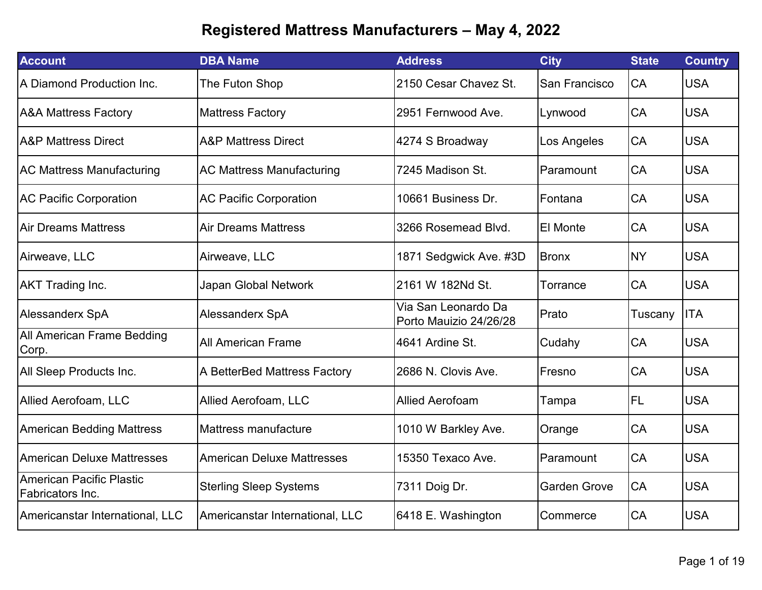| <b>Account</b>                               | <b>DBA Name</b>                   | <b>Address</b>                                | <b>City</b>         | <b>State</b> | <b>Country</b> |
|----------------------------------------------|-----------------------------------|-----------------------------------------------|---------------------|--------------|----------------|
| A Diamond Production Inc.                    | The Futon Shop                    | 2150 Cesar Chavez St.                         | San Francisco       | CA           | <b>USA</b>     |
| <b>A&amp;A Mattress Factory</b>              | <b>Mattress Factory</b>           | 2951 Fernwood Ave.                            | Lynwood             | CA           | <b>USA</b>     |
| <b>A&amp;P Mattress Direct</b>               | <b>A&amp;P Mattress Direct</b>    | 4274 S Broadway                               | Los Angeles         | CA           | <b>USA</b>     |
| <b>AC Mattress Manufacturing</b>             | <b>AC Mattress Manufacturing</b>  | 7245 Madison St.                              | Paramount           | CA           | <b>USA</b>     |
| <b>AC Pacific Corporation</b>                | <b>AC Pacific Corporation</b>     | 10661 Business Dr.                            | Fontana             | CA           | <b>USA</b>     |
| <b>Air Dreams Mattress</b>                   | <b>Air Dreams Mattress</b>        | 3266 Rosemead Blvd.                           | <b>El Monte</b>     | CA           | <b>USA</b>     |
| Airweave, LLC                                | Airweave, LLC                     | 1871 Sedgwick Ave. #3D                        | <b>Bronx</b>        | <b>NY</b>    | <b>USA</b>     |
| <b>AKT Trading Inc.</b>                      | Japan Global Network              | 2161 W 182Nd St.                              | Torrance            | CA           | <b>USA</b>     |
| <b>Alessanderx SpA</b>                       | <b>Alessanderx SpA</b>            | Via San Leonardo Da<br>Porto Mauizio 24/26/28 | Prato               | Tuscany      | <b>ITA</b>     |
| <b>All American Frame Bedding</b><br>Corp.   | <b>All American Frame</b>         | 4641 Ardine St.                               | Cudahy              | CA           | <b>USA</b>     |
| All Sleep Products Inc.                      | A BetterBed Mattress Factory      | 2686 N. Clovis Ave.                           | Fresno              | <b>CA</b>    | <b>USA</b>     |
| <b>Allied Aerofoam, LLC</b>                  | Allied Aerofoam, LLC              | <b>Allied Aerofoam</b>                        | Tampa               | <b>FL</b>    | <b>USA</b>     |
| <b>American Bedding Mattress</b>             | Mattress manufacture              | 1010 W Barkley Ave.                           | Orange              | CA           | <b>USA</b>     |
| <b>American Deluxe Mattresses</b>            | <b>American Deluxe Mattresses</b> | 15350 Texaco Ave.                             | Paramount           | CA           | <b>USA</b>     |
| American Pacific Plastic<br>Fabricators Inc. | <b>Sterling Sleep Systems</b>     | 7311 Doig Dr.                                 | <b>Garden Grove</b> | CA           | <b>USA</b>     |
| Americanstar International, LLC              | Americanstar International, LLC   | 6418 E. Washington                            | Commerce            | CA           | <b>USA</b>     |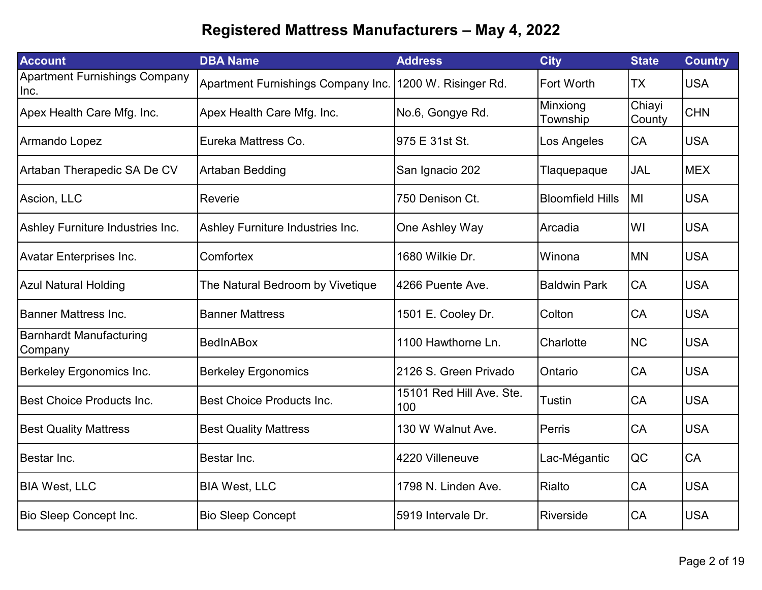| <b>Account</b>                               | <b>DBA Name</b>                    | <b>Address</b>                  | <b>City</b>             | <b>State</b>     | <b>Country</b> |
|----------------------------------------------|------------------------------------|---------------------------------|-------------------------|------------------|----------------|
| <b>Apartment Furnishings Company</b><br>Inc. | Apartment Furnishings Company Inc. | 1200 W. Risinger Rd.            | <b>Fort Worth</b>       | <b>TX</b>        | <b>USA</b>     |
| Apex Health Care Mfg. Inc.                   | Apex Health Care Mfg. Inc.         | No.6, Gongye Rd.                | Minxiong<br>Township    | Chiayi<br>County | <b>CHN</b>     |
| Armando Lopez                                | Eureka Mattress Co.                | 975 E 31st St.                  | Los Angeles             | CA               | <b>USA</b>     |
| Artaban Therapedic SA De CV                  | <b>Artaban Bedding</b>             | San Ignacio 202                 | Tlaquepaque             | JAL              | <b>MEX</b>     |
| Ascion, LLC                                  | Reverie                            | 750 Denison Ct.                 | <b>Bloomfield Hills</b> | MI               | <b>USA</b>     |
| Ashley Furniture Industries Inc.             | Ashley Furniture Industries Inc.   | One Ashley Way                  | Arcadia                 | WI               | <b>USA</b>     |
| <b>Avatar Enterprises Inc.</b>               | Comfortex                          | 1680 Wilkie Dr.                 | Winona                  | <b>MN</b>        | <b>USA</b>     |
| <b>Azul Natural Holding</b>                  | The Natural Bedroom by Vivetique   | 4266 Puente Ave.                | <b>Baldwin Park</b>     | CA               | <b>USA</b>     |
| <b>Banner Mattress Inc.</b>                  | <b>Banner Mattress</b>             | 1501 E. Cooley Dr.              | Colton                  | CA               | <b>USA</b>     |
| <b>Barnhardt Manufacturing</b><br>Company    | <b>BedInABox</b>                   | 1100 Hawthorne Ln.              | Charlotte               | <b>NC</b>        | <b>USA</b>     |
| Berkeley Ergonomics Inc.                     | <b>Berkeley Ergonomics</b>         | 2126 S. Green Privado           | Ontario                 | CA               | <b>USA</b>     |
| <b>Best Choice Products Inc.</b>             | Best Choice Products Inc.          | 15101 Red Hill Ave. Ste.<br>100 | Tustin                  | CA               | <b>USA</b>     |
| <b>Best Quality Mattress</b>                 | <b>Best Quality Mattress</b>       | 130 W Walnut Ave.               | Perris                  | CA               | <b>USA</b>     |
| Bestar Inc.                                  | Bestar Inc.                        | 4220 Villeneuve                 | Lac-Mégantic            | QC               | CA             |
| <b>BIA West, LLC</b>                         | <b>BIA West, LLC</b>               | 1798 N. Linden Ave.             | Rialto                  | CA               | <b>USA</b>     |
| Bio Sleep Concept Inc.                       | <b>Bio Sleep Concept</b>           | 5919 Intervale Dr.              | Riverside               | CA               | <b>USA</b>     |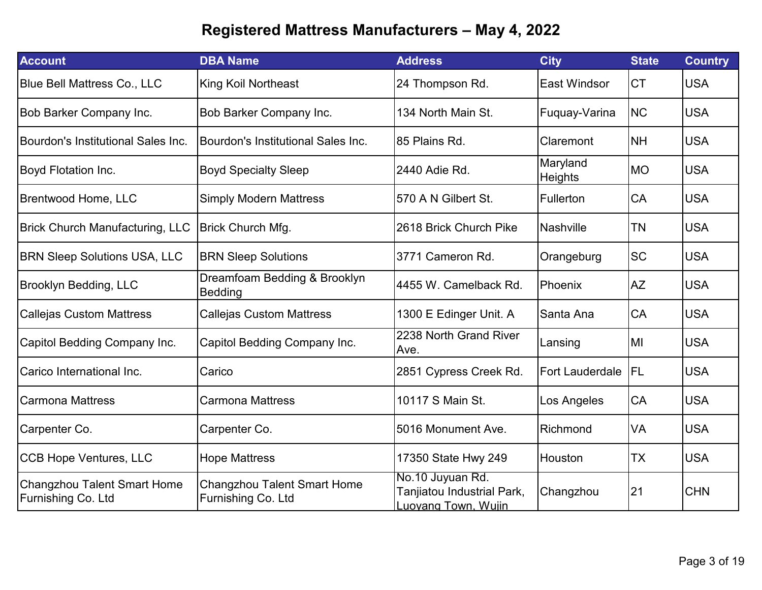| <b>Account</b>                                           | <b>DBA Name</b>                                          | <b>Address</b>                                                               | <b>City</b>                | <b>State</b> | <b>Country</b> |
|----------------------------------------------------------|----------------------------------------------------------|------------------------------------------------------------------------------|----------------------------|--------------|----------------|
| <b>Blue Bell Mattress Co., LLC</b>                       | <b>King Koil Northeast</b>                               | 24 Thompson Rd.                                                              | <b>East Windsor</b>        | <b>CT</b>    | <b>USA</b>     |
| <b>Bob Barker Company Inc.</b>                           | Bob Barker Company Inc.                                  | 134 North Main St.                                                           | Fuquay-Varina              | <b>NC</b>    | <b>USA</b>     |
| Bourdon's Institutional Sales Inc.                       | Bourdon's Institutional Sales Inc.                       | 85 Plains Rd.                                                                | Claremont                  | <b>NH</b>    | <b>USA</b>     |
| <b>Boyd Flotation Inc.</b>                               | <b>Boyd Specialty Sleep</b>                              | 2440 Adie Rd.                                                                | Maryland<br><b>Heights</b> | <b>MO</b>    | <b>USA</b>     |
| <b>Brentwood Home, LLC</b>                               | <b>Simply Modern Mattress</b>                            | 570 A N Gilbert St.                                                          | Fullerton                  | CA           | <b>USA</b>     |
| <b>Brick Church Manufacturing, LLC</b>                   | Brick Church Mfg.                                        | 2618 Brick Church Pike                                                       | <b>Nashville</b>           | <b>TN</b>    | <b>USA</b>     |
| <b>BRN Sleep Solutions USA, LLC</b>                      | <b>BRN Sleep Solutions</b>                               | 3771 Cameron Rd.                                                             | Orangeburg                 | <b>SC</b>    | <b>USA</b>     |
| <b>Brooklyn Bedding, LLC</b>                             | Dreamfoam Bedding & Brooklyn<br>Bedding                  | 4455 W. Camelback Rd.                                                        | Phoenix                    | <b>AZ</b>    | <b>USA</b>     |
| <b>Callejas Custom Mattress</b>                          | <b>Callejas Custom Mattress</b>                          | 1300 E Edinger Unit. A                                                       | Santa Ana                  | CA           | <b>USA</b>     |
| Capitol Bedding Company Inc.                             | Capitol Bedding Company Inc.                             | 2238 North Grand River<br>Ave.                                               | Lansing                    | MI           | <b>USA</b>     |
| Carico International Inc.                                | Carico                                                   | 2851 Cypress Creek Rd.                                                       | <b>Fort Lauderdale</b>     | FL           | <b>USA</b>     |
| <b>Carmona Mattress</b>                                  | <b>Carmona Mattress</b>                                  | 10117 S Main St.                                                             | Los Angeles                | CA           | <b>USA</b>     |
| Carpenter Co.                                            | Carpenter Co.                                            | 5016 Monument Ave.                                                           | Richmond                   | VA           | <b>USA</b>     |
| <b>CCB Hope Ventures, LLC</b>                            | <b>Hope Mattress</b>                                     | 17350 State Hwy 249                                                          | Houston                    | <b>TX</b>    | <b>USA</b>     |
| <b>Changzhou Talent Smart Home</b><br>Furnishing Co. Ltd | <b>Changzhou Talent Smart Home</b><br>Furnishing Co. Ltd | No.10 Juyuan Rd.<br>Tanjiatou Industrial Park,<br><b>Luovang Town, Wujin</b> | Changzhou                  | 21           | <b>CHN</b>     |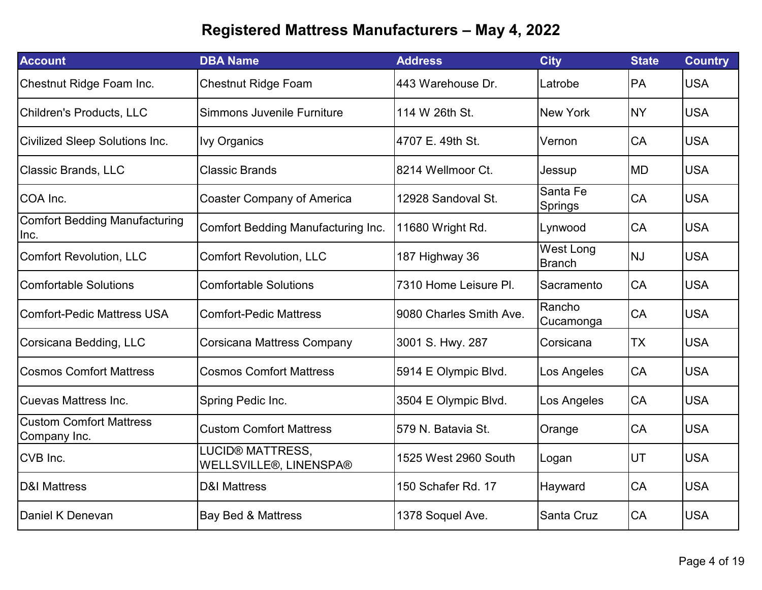| <b>Account</b>                                 | <b>DBA Name</b>                                   | <b>Address</b>          | <b>City</b>                | <b>State</b> | <b>Country</b> |
|------------------------------------------------|---------------------------------------------------|-------------------------|----------------------------|--------------|----------------|
| Chestnut Ridge Foam Inc.                       | <b>Chestnut Ridge Foam</b>                        | 443 Warehouse Dr.       | Latrobe                    | <b>PA</b>    | <b>USA</b>     |
| <b>Children's Products, LLC</b>                | Simmons Juvenile Furniture                        | 114 W 26th St.          | <b>New York</b>            | <b>NY</b>    | <b>USA</b>     |
| <b>Civilized Sleep Solutions Inc.</b>          | <b>Ivy Organics</b>                               | 4707 E. 49th St.        | Vernon                     | <b>CA</b>    | <b>USA</b>     |
| <b>Classic Brands, LLC</b>                     | <b>Classic Brands</b>                             | 8214 Wellmoor Ct.       | Jessup                     | <b>MD</b>    | <b>USA</b>     |
| COA Inc.                                       | <b>Coaster Company of America</b>                 | 12928 Sandoval St.      | Santa Fe<br>Springs        | CA           | <b>USA</b>     |
| <b>Comfort Bedding Manufacturing</b><br>Inc.   | <b>Comfort Bedding Manufacturing Inc.</b>         | 11680 Wright Rd.        | Lynwood                    | <b>CA</b>    | <b>USA</b>     |
| <b>Comfort Revolution, LLC</b>                 | <b>Comfort Revolution, LLC</b>                    | 187 Highway 36          | West Long<br><b>Branch</b> | <b>NJ</b>    | <b>USA</b>     |
| <b>Comfortable Solutions</b>                   | <b>Comfortable Solutions</b>                      | 7310 Home Leisure PI.   | Sacramento                 | <b>CA</b>    | <b>USA</b>     |
| <b>Comfort-Pedic Mattress USA</b>              | <b>Comfort-Pedic Mattress</b>                     | 9080 Charles Smith Ave. | Rancho<br>Cucamonga        | CA           | <b>USA</b>     |
| Corsicana Bedding, LLC                         | <b>Corsicana Mattress Company</b>                 | 3001 S. Hwy. 287        | Corsicana                  | <b>TX</b>    | <b>USA</b>     |
| <b>Cosmos Comfort Mattress</b>                 | <b>Cosmos Comfort Mattress</b>                    | 5914 E Olympic Blvd.    | Los Angeles                | CA           | <b>USA</b>     |
| <b>Cuevas Mattress Inc.</b>                    | Spring Pedic Inc.                                 | 3504 E Olympic Blvd.    | Los Angeles                | CA           | <b>USA</b>     |
| <b>Custom Comfort Mattress</b><br>Company Inc. | <b>Custom Comfort Mattress</b>                    | 579 N. Batavia St.      | Orange                     | CA           | <b>USA</b>     |
| CVB Inc.                                       | <b>LUCID® MATTRESS,</b><br>WELLSVILLE®, LINENSPA® | 1525 West 2960 South    | Logan                      | UT           | <b>USA</b>     |
| <b>D&amp;I Mattress</b>                        | <b>D&amp;I Mattress</b>                           | 150 Schafer Rd. 17      | Hayward                    | CA           | <b>USA</b>     |
| Daniel K Denevan                               | <b>Bay Bed &amp; Mattress</b>                     | 1378 Soquel Ave.        | Santa Cruz                 | CA           | <b>USA</b>     |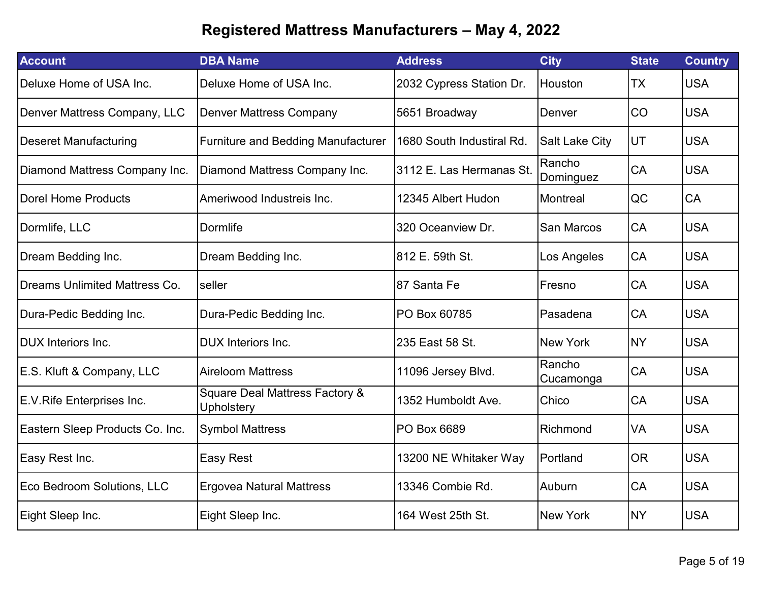| <b>Account</b>                       | <b>DBA Name</b>                              | <b>Address</b>            | <b>City</b>           | <b>State</b> | <b>Country</b> |
|--------------------------------------|----------------------------------------------|---------------------------|-----------------------|--------------|----------------|
| Deluxe Home of USA Inc.              | Deluxe Home of USA Inc.                      | 2032 Cypress Station Dr.  | Houston               | <b>TX</b>    | <b>USA</b>     |
| Denver Mattress Company, LLC         | <b>Denver Mattress Company</b>               | 5651 Broadway             | Denver                | CO           | <b>USA</b>     |
| <b>Deseret Manufacturing</b>         | Furniture and Bedding Manufacturer           | 1680 South Industiral Rd. | <b>Salt Lake City</b> | UT           | <b>USA</b>     |
| Diamond Mattress Company Inc.        | Diamond Mattress Company Inc.                | 3112 E. Las Hermanas St.  | Rancho<br>Dominguez   | <b>CA</b>    | <b>USA</b>     |
| <b>Dorel Home Products</b>           | Ameriwood Industreis Inc.                    | 12345 Albert Hudon        | Montreal              | QC           | CA             |
| Dormlife, LLC                        | Dormlife                                     | 320 Oceanview Dr.         | <b>San Marcos</b>     | CA           | <b>USA</b>     |
| Dream Bedding Inc.                   | Dream Bedding Inc.                           | 812 E. 59th St.           | Los Angeles           | <b>CA</b>    | <b>USA</b>     |
| <b>Dreams Unlimited Mattress Co.</b> | seller                                       | 87 Santa Fe               | Fresno                | <b>CA</b>    | <b>USA</b>     |
| Dura-Pedic Bedding Inc.              | Dura-Pedic Bedding Inc.                      | PO Box 60785              | Pasadena              | CA           | <b>USA</b>     |
| <b>DUX</b> Interiors Inc.            | <b>DUX</b> Interiors Inc.                    | 235 East 58 St.           | <b>New York</b>       | <b>NY</b>    | <b>USA</b>     |
| E.S. Kluft & Company, LLC            | <b>Aireloom Mattress</b>                     | 11096 Jersey Blvd.        | Rancho<br>Cucamonga   | CA           | <b>USA</b>     |
| E.V.Rife Enterprises Inc.            | Square Deal Mattress Factory &<br>Upholstery | 1352 Humboldt Ave.        | Chico                 | <b>CA</b>    | <b>USA</b>     |
| Eastern Sleep Products Co. Inc.      | <b>Symbol Mattress</b>                       | PO Box 6689               | Richmond              | VA           | <b>USA</b>     |
| Easy Rest Inc.                       | <b>Easy Rest</b>                             | 13200 NE Whitaker Way     | Portland              | <b>OR</b>    | <b>USA</b>     |
| Eco Bedroom Solutions, LLC           | <b>Ergovea Natural Mattress</b>              | 13346 Combie Rd.          | Auburn                | CA           | <b>USA</b>     |
| Eight Sleep Inc.                     | Eight Sleep Inc.                             | 164 West 25th St.         | <b>New York</b>       | <b>NY</b>    | <b>USA</b>     |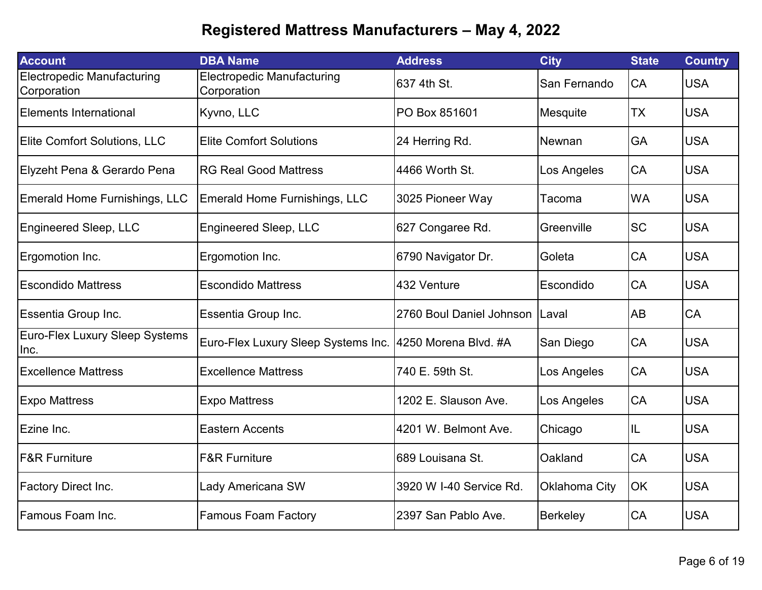| <b>Account</b>                                   | <b>DBA Name</b>                                          | <b>Address</b>           | <b>City</b>     | <b>State</b> | <b>Country</b> |
|--------------------------------------------------|----------------------------------------------------------|--------------------------|-----------------|--------------|----------------|
| <b>Electropedic Manufacturing</b><br>Corporation | <b>Electropedic Manufacturing</b><br>Corporation         | 637 4th St.              | San Fernando    | CA           | <b>USA</b>     |
| <b>Elements International</b>                    | Kyvno, LLC                                               | PO Box 851601            | Mesquite        | <b>TX</b>    | <b>USA</b>     |
| <b>Elite Comfort Solutions, LLC</b>              | <b>Elite Comfort Solutions</b>                           | 24 Herring Rd.           | Newnan          | GA           | <b>USA</b>     |
| Elyzeht Pena & Gerardo Pena                      | <b>RG Real Good Mattress</b>                             | 4466 Worth St.           | Los Angeles     | CA           | <b>USA</b>     |
| <b>Emerald Home Furnishings, LLC</b>             | Emerald Home Furnishings, LLC                            | 3025 Pioneer Way         | Tacoma          | <b>WA</b>    | <b>USA</b>     |
| <b>Engineered Sleep, LLC</b>                     | <b>Engineered Sleep, LLC</b>                             | 627 Congaree Rd.         | Greenville      | <b>SC</b>    | <b>USA</b>     |
| Ergomotion Inc.                                  | Ergomotion Inc.                                          | 6790 Navigator Dr.       | Goleta          | CA           | <b>USA</b>     |
| <b>Escondido Mattress</b>                        | <b>Escondido Mattress</b>                                | 432 Venture              | Escondido       | CA           | <b>USA</b>     |
| Essentia Group Inc.                              | Essentia Group Inc.                                      | 2760 Boul Daniel Johnson | Laval           | AB           | <b>CA</b>      |
| Euro-Flex Luxury Sleep Systems<br>lnc.           | Euro-Flex Luxury Sleep Systems Inc. 4250 Morena Blvd. #A |                          | San Diego       | CA           | <b>USA</b>     |
| <b>Excellence Mattress</b>                       | <b>Excellence Mattress</b>                               | 740 E. 59th St.          | Los Angeles     | CA           | <b>USA</b>     |
| <b>Expo Mattress</b>                             | <b>Expo Mattress</b>                                     | 1202 E. Slauson Ave.     | Los Angeles     | CA           | <b>USA</b>     |
| Ezine Inc.                                       | <b>Eastern Accents</b>                                   | 4201 W. Belmont Ave.     | Chicago         | IL           | <b>USA</b>     |
| <b>F&amp;R Furniture</b>                         | <b>F&amp;R Furniture</b>                                 | 689 Louisana St.         | Oakland         | CA           | <b>USA</b>     |
| <b>Factory Direct Inc.</b>                       | <b>Lady Americana SW</b>                                 | 3920 W I-40 Service Rd.  | Oklahoma City   | OK           | <b>USA</b>     |
| Famous Foam Inc.                                 | <b>Famous Foam Factory</b>                               | 2397 San Pablo Ave.      | <b>Berkeley</b> | CA           | <b>USA</b>     |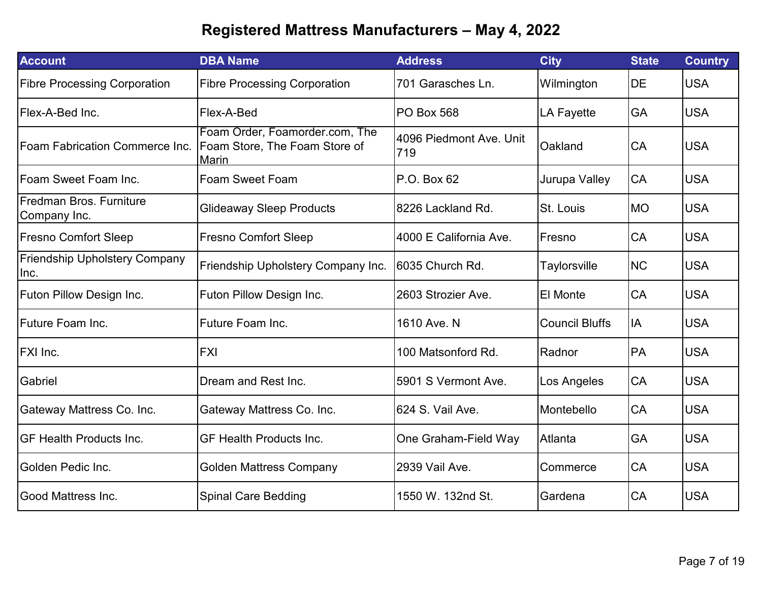| <b>Account</b>                               | <b>DBA Name</b>                                                          | <b>Address</b>                 | <b>City</b>           | <b>State</b> | <b>Country</b> |
|----------------------------------------------|--------------------------------------------------------------------------|--------------------------------|-----------------------|--------------|----------------|
| <b>Fibre Processing Corporation</b>          | <b>Fibre Processing Corporation</b>                                      | 701 Garasches Ln.              | Wilmington            | DE           | <b>USA</b>     |
| Flex-A-Bed Inc.                              | Flex-A-Bed                                                               | <b>PO Box 568</b>              | <b>LA Fayette</b>     | GA           | <b>USA</b>     |
| <b>Foam Fabrication Commerce Inc.</b>        | Foam Order, Foamorder.com, The<br>Foam Store, The Foam Store of<br>Marin | 4096 Piedmont Ave. Unit<br>719 | Oakland               | CA           | <b>USA</b>     |
| Foam Sweet Foam Inc.                         | <b>Foam Sweet Foam</b>                                                   | P.O. Box 62                    | Jurupa Valley         | CA           | <b>USA</b>     |
| Fredman Bros, Furniture<br>Company Inc.      | <b>Glideaway Sleep Products</b>                                          | 8226 Lackland Rd.              | St. Louis             | <b>MO</b>    | <b>USA</b>     |
| <b>Fresno Comfort Sleep</b>                  | <b>Fresno Comfort Sleep</b>                                              | 4000 E California Ave.         | Fresno                | CA           | <b>USA</b>     |
| <b>Friendship Upholstery Company</b><br>Inc. | Friendship Upholstery Company Inc.                                       | 6035 Church Rd.                | Taylorsville          | <b>NC</b>    | <b>USA</b>     |
| Futon Pillow Design Inc.                     | Futon Pillow Design Inc.                                                 | 2603 Strozier Ave.             | El Monte              | CA           | <b>USA</b>     |
| Future Foam Inc.                             | Future Foam Inc.                                                         | 1610 Ave. N                    | <b>Council Bluffs</b> | IA           | <b>USA</b>     |
| <b>FXI Inc.</b>                              | <b>FXI</b>                                                               | 100 Matsonford Rd.             | Radnor                | PA           | <b>USA</b>     |
| Gabriel                                      | Dream and Rest Inc.                                                      | 5901 S Vermont Ave.            | Los Angeles           | CA           | <b>USA</b>     |
| Gateway Mattress Co. Inc.                    | Gateway Mattress Co. Inc.                                                | 624 S. Vail Ave.               | Montebello            | CA           | <b>USA</b>     |
| <b>GF Health Products Inc.</b>               | <b>GF Health Products Inc.</b>                                           | One Graham-Field Way           | Atlanta               | GA           | <b>USA</b>     |
| Golden Pedic Inc.                            | <b>Golden Mattress Company</b>                                           | 2939 Vail Ave.                 | Commerce              | CA           | <b>USA</b>     |
| <b>Good Mattress Inc.</b>                    | <b>Spinal Care Bedding</b>                                               | 1550 W. 132nd St.              | Gardena               | CA           | <b>USA</b>     |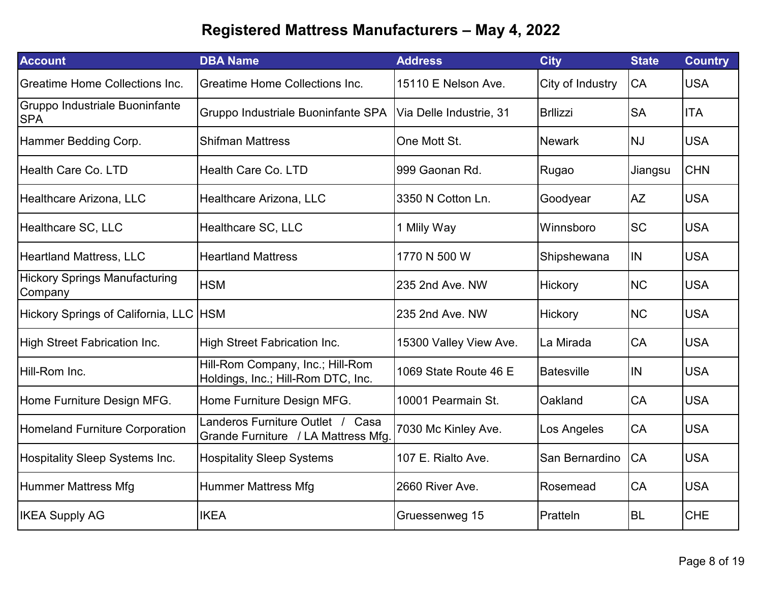| <b>Account</b>                                  | <b>DBA Name</b>                                                            | <b>Address</b>          | <b>City</b>       | <b>State</b> | <b>Country</b> |
|-------------------------------------------------|----------------------------------------------------------------------------|-------------------------|-------------------|--------------|----------------|
| <b>Greatime Home Collections Inc.</b>           | <b>Greatime Home Collections Inc.</b>                                      | 15110 E Nelson Ave.     | City of Industry  | CA           | <b>USA</b>     |
| Gruppo Industriale Buoninfante<br><b>SPA</b>    | Gruppo Industriale Buoninfante SPA                                         | Via Delle Industrie, 31 | <b>Brllizzi</b>   | <b>SA</b>    | <b>ITA</b>     |
| Hammer Bedding Corp.                            | <b>Shifman Mattress</b>                                                    | One Mott St.            | <b>Newark</b>     | <b>NJ</b>    | <b>USA</b>     |
| Health Care Co. LTD                             | Health Care Co. LTD                                                        | 999 Gaonan Rd.          | Rugao             | Jiangsu      | <b>CHN</b>     |
| Healthcare Arizona, LLC                         | Healthcare Arizona, LLC                                                    | 3350 N Cotton Ln.       | Goodyear          | <b>AZ</b>    | <b>USA</b>     |
| Healthcare SC, LLC                              | Healthcare SC, LLC                                                         | 1 Mlily Way             | Winnsboro         | <b>SC</b>    | <b>USA</b>     |
| <b>Heartland Mattress, LLC</b>                  | <b>Heartland Mattress</b>                                                  | 1770 N 500 W            | Shipshewana       | <b>IN</b>    | <b>USA</b>     |
| <b>Hickory Springs Manufacturing</b><br>Company | <b>HSM</b>                                                                 | 235 2nd Ave. NW         | Hickory           | <b>NC</b>    | <b>USA</b>     |
| Hickory Springs of California, LLC HSM          |                                                                            | 235 2nd Ave. NW         | Hickory           | <b>NC</b>    | <b>USA</b>     |
| High Street Fabrication Inc.                    | High Street Fabrication Inc.                                               | 15300 Valley View Ave.  | La Mirada         | CA           | <b>USA</b>     |
| Hill-Rom Inc.                                   | Hill-Rom Company, Inc.; Hill-Rom<br>Holdings, Inc.; Hill-Rom DTC, Inc.     | 1069 State Route 46 E   | <b>Batesville</b> | IN           | <b>USA</b>     |
| Home Furniture Design MFG.                      | Home Furniture Design MFG.                                                 | 10001 Pearmain St.      | Oakland           | CA           | <b>USA</b>     |
| <b>Homeland Furniture Corporation</b>           | Landeros Furniture Outlet /<br>Casa<br>Grande Furniture / LA Mattress Mfg. | 7030 Mc Kinley Ave.     | Los Angeles       | CA           | <b>USA</b>     |
| Hospitality Sleep Systems Inc.                  | <b>Hospitality Sleep Systems</b>                                           | 107 E. Rialto Ave.      | San Bernardino    | CA           | <b>USA</b>     |
| Hummer Mattress Mfg                             | <b>Hummer Mattress Mfg</b>                                                 | 2660 River Ave.         | Rosemead          | <b>CA</b>    | <b>USA</b>     |
| <b>IKEA Supply AG</b>                           | <b>IKEA</b>                                                                | Gruessenweg 15          | Pratteln          | <b>BL</b>    | <b>CHE</b>     |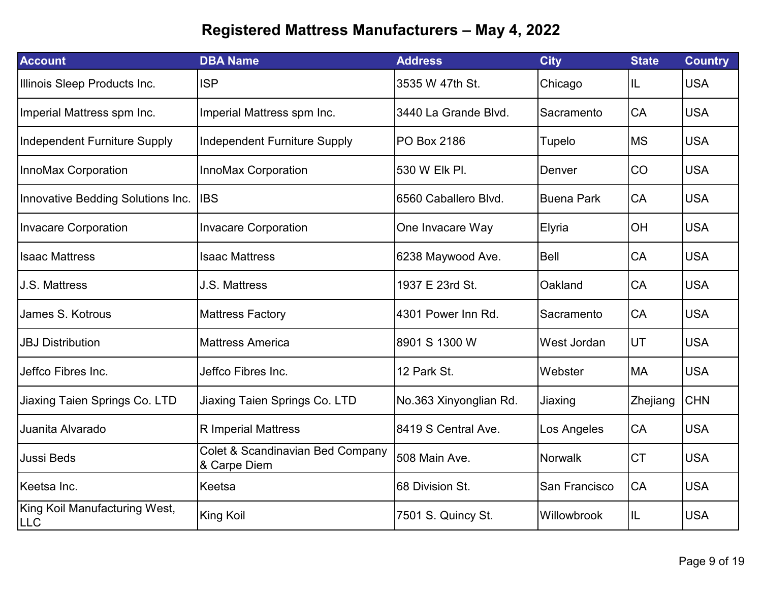| <b>Account</b>                       | <b>DBA Name</b>                                  | <b>Address</b>         | <b>City</b>       | <b>State</b> | <b>Country</b> |
|--------------------------------------|--------------------------------------------------|------------------------|-------------------|--------------|----------------|
| Illinois Sleep Products Inc.         | <b>ISP</b>                                       | 3535 W 47th St.        | Chicago           | IL           | <b>USA</b>     |
| Imperial Mattress spm Inc.           | Imperial Mattress spm Inc.                       | 3440 La Grande Blvd.   | Sacramento        | <b>CA</b>    | <b>USA</b>     |
| <b>Independent Furniture Supply</b>  | <b>Independent Furniture Supply</b>              | <b>PO Box 2186</b>     | Tupelo            | <b>MS</b>    | <b>USA</b>     |
| InnoMax Corporation                  | <b>InnoMax Corporation</b>                       | 530 W Elk Pl.          | Denver            | CO           | <b>USA</b>     |
| Innovative Bedding Solutions Inc.    | <b>IBS</b>                                       | 6560 Caballero Blvd.   | <b>Buena Park</b> | CA           | <b>USA</b>     |
| <b>Invacare Corporation</b>          | <b>Invacare Corporation</b>                      | One Invacare Way       | Elyria            | OH           | <b>USA</b>     |
| <b>Isaac Mattress</b>                | <b>Isaac Mattress</b>                            | 6238 Maywood Ave.      | <b>Bell</b>       | CA           | <b>USA</b>     |
| J.S. Mattress                        | <b>J.S. Mattress</b>                             | 1937 E 23rd St.        | Oakland           | CA           | <b>USA</b>     |
| James S. Kotrous                     | <b>Mattress Factory</b>                          | 4301 Power Inn Rd.     | Sacramento        | CA           | <b>USA</b>     |
| <b>JBJ Distribution</b>              | <b>Mattress America</b>                          | 8901 S 1300 W          | West Jordan       | UT           | <b>USA</b>     |
| Jeffco Fibres Inc.                   | Jeffco Fibres Inc.                               | 12 Park St.            | Webster           | <b>MA</b>    | <b>USA</b>     |
| Jiaxing Taien Springs Co. LTD        | Jiaxing Taien Springs Co. LTD                    | No.363 Xinyonglian Rd. | Jiaxing           | Zhejiang     | <b>CHN</b>     |
| Juanita Alvarado                     | <b>R</b> Imperial Mattress                       | 8419 S Central Ave.    | Los Angeles       | CA           | <b>USA</b>     |
| Jussi Beds                           | Colet & Scandinavian Bed Company<br>& Carpe Diem | 508 Main Ave.          | Norwalk           | <b>CT</b>    | <b>USA</b>     |
| Keetsa Inc.                          | Keetsa                                           | 68 Division St.        | San Francisco     | CA           | <b>USA</b>     |
| King Koil Manufacturing West,<br>LLC | <b>King Koil</b>                                 | 7501 S. Quincy St.     | Willowbrook       | IL           | <b>USA</b>     |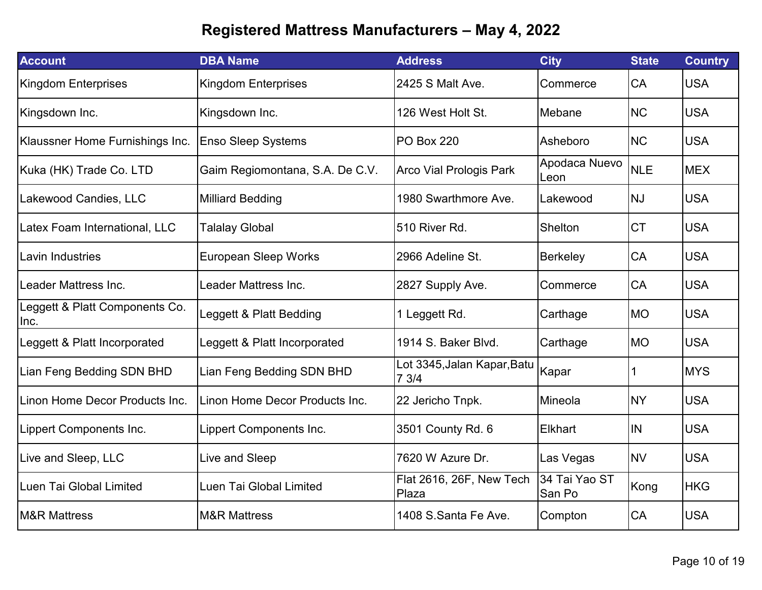| <b>Account</b>                         | <b>DBA Name</b>                 | <b>Address</b>                      | <b>City</b>             | <b>State</b> | <b>Country</b> |
|----------------------------------------|---------------------------------|-------------------------------------|-------------------------|--------------|----------------|
| <b>Kingdom Enterprises</b>             | <b>Kingdom Enterprises</b>      | 2425 S Malt Ave.                    | Commerce                | CA           | <b>USA</b>     |
| Kingsdown Inc.                         | Kingsdown Inc.                  | 126 West Holt St.                   | Mebane                  | <b>NC</b>    | <b>USA</b>     |
| Klaussner Home Furnishings Inc.        | <b>Enso Sleep Systems</b>       | <b>PO Box 220</b>                   | Asheboro                | <b>NC</b>    | <b>USA</b>     |
| Kuka (HK) Trade Co. LTD                | Gaim Regiomontana, S.A. De C.V. | <b>Arco Vial Prologis Park</b>      | Apodaca Nuevo<br>Leon   | <b>NLE</b>   | <b>MEX</b>     |
| Lakewood Candies, LLC                  | <b>Milliard Bedding</b>         | 1980 Swarthmore Ave.                | Lakewood                | <b>NJ</b>    | <b>USA</b>     |
| Latex Foam International, LLC          | <b>Talalay Global</b>           | 510 River Rd.                       | Shelton                 | <b>CT</b>    | <b>USA</b>     |
| Lavin Industries                       | <b>European Sleep Works</b>     | 2966 Adeline St.                    | <b>Berkeley</b>         | CA           | <b>USA</b>     |
| Leader Mattress Inc.                   | Leader Mattress Inc.            | 2827 Supply Ave.                    | Commerce                | CA           | <b>USA</b>     |
| Leggett & Platt Components Co.<br>Inc. | Leggett & Platt Bedding         | 1 Leggett Rd.                       | Carthage                | <b>MO</b>    | <b>USA</b>     |
| Leggett & Platt Incorporated           | Leggett & Platt Incorporated    | 1914 S. Baker Blvd.                 | Carthage                | <b>MO</b>    | <b>USA</b>     |
| Lian Feng Bedding SDN BHD              | Lian Feng Bedding SDN BHD       | Lot 3345, Jalan Kapar, Batu<br>73/4 | Kapar                   |              | <b>MYS</b>     |
| Linon Home Decor Products Inc.         | Linon Home Decor Products Inc.  | 22 Jericho Tnpk.                    | Mineola                 | <b>NY</b>    | <b>USA</b>     |
| Lippert Components Inc.                | Lippert Components Inc.         | 3501 County Rd. 6                   | <b>Elkhart</b>          | <b>IN</b>    | <b>USA</b>     |
| Live and Sleep, LLC                    | Live and Sleep                  | 7620 W Azure Dr.                    | Las Vegas               | <b>NV</b>    | <b>USA</b>     |
| Luen Tai Global Limited                | Luen Tai Global Limited         | Flat 2616, 26F, New Tech<br>Plaza   | 34 Tai Yao ST<br>San Po | Kong         | <b>HKG</b>     |
| <b>M&amp;R Mattress</b>                | <b>M&amp;R Mattress</b>         | 1408 S.Santa Fe Ave.                | Compton                 | CA           | <b>USA</b>     |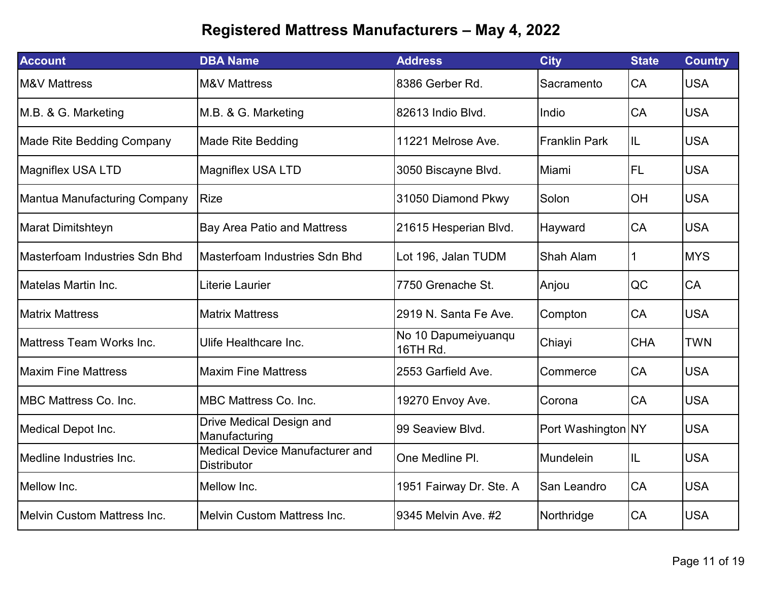| <b>Account</b>                      | <b>DBA Name</b>                                              | <b>Address</b>                  | <b>City</b>          | <b>State</b> | <b>Country</b> |
|-------------------------------------|--------------------------------------------------------------|---------------------------------|----------------------|--------------|----------------|
| <b>M&amp;V Mattress</b>             | <b>M&amp;V Mattress</b>                                      | 8386 Gerber Rd.                 | Sacramento           | CA           | <b>USA</b>     |
| M.B. & G. Marketing                 | M.B. & G. Marketing                                          | 82613 Indio Blvd.               | Indio                | CA           | <b>USA</b>     |
| <b>Made Rite Bedding Company</b>    | <b>Made Rite Bedding</b>                                     | 11221 Melrose Ave.              | <b>Franklin Park</b> | IL           | <b>USA</b>     |
| <b>Magniflex USA LTD</b>            | <b>Magniflex USA LTD</b>                                     | 3050 Biscayne Blvd.             | Miami                | <b>FL</b>    | <b>USA</b>     |
| <b>Mantua Manufacturing Company</b> | <b>Rize</b>                                                  | 31050 Diamond Pkwy              | Solon                | OH           | <b>USA</b>     |
| Marat Dimitshteyn                   | <b>Bay Area Patio and Mattress</b>                           | 21615 Hesperian Blvd.           | Hayward              | CA           | <b>USA</b>     |
| Masterfoam Industries Sdn Bhd       | <b>Masterfoam Industries Sdn Bhd</b>                         | Lot 196, Jalan TUDM             | Shah Alam            |              | <b>MYS</b>     |
| Matelas Martin Inc.                 | Literie Laurier                                              | 7750 Grenache St.               | Anjou                | QC           | CA             |
| <b>Matrix Mattress</b>              | <b>Matrix Mattress</b>                                       | 2919 N. Santa Fe Ave.           | Compton              | CA           | <b>USA</b>     |
| IMattress Team Works Inc.           | Ulife Healthcare Inc.                                        | No 10 Dapumeiyuanqu<br>16TH Rd. | Chiayi               | <b>CHA</b>   | <b>TWN</b>     |
| <b>Maxim Fine Mattress</b>          | <b>Maxim Fine Mattress</b>                                   | 2553 Garfield Ave.              | Commerce             | CA           | <b>USA</b>     |
| IMBC Mattress Co. Inc.              | <b>MBC Mattress Co. Inc.</b>                                 | 19270 Envoy Ave.                | Corona               | CA           | <b>USA</b>     |
| Medical Depot Inc.                  | Drive Medical Design and<br>Manufacturing                    | 99 Seaview Blvd.                | Port Washington NY   |              | <b>USA</b>     |
| Medline Industries Inc.             | <b>Medical Device Manufacturer and</b><br><b>Distributor</b> | One Medline PI.                 | Mundelein            | IL.          | <b>USA</b>     |
| Mellow Inc.                         | Mellow Inc.                                                  | 1951 Fairway Dr. Ste. A         | San Leandro          | CA           | <b>USA</b>     |
| Melvin Custom Mattress Inc.         | <b>Melvin Custom Mattress Inc.</b>                           | 9345 Melvin Ave. #2             | Northridge           | CA           | <b>USA</b>     |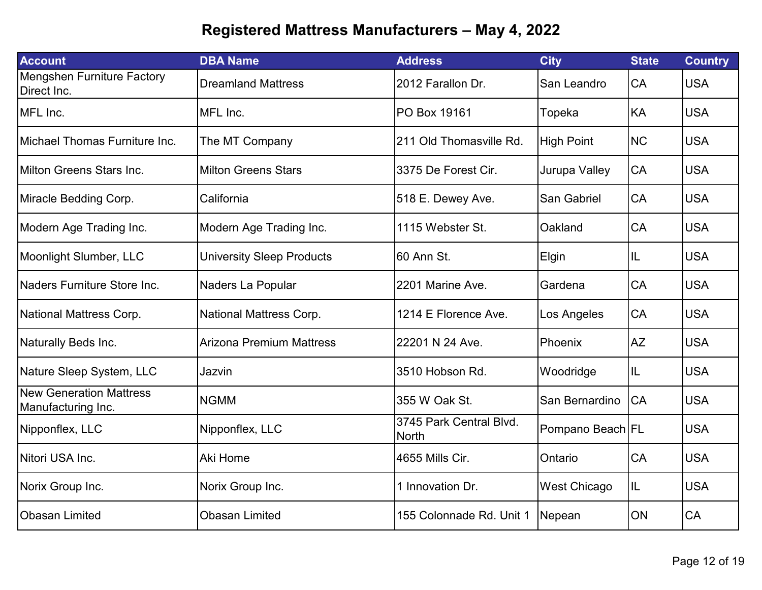| <b>Account</b>                                       | <b>DBA Name</b>                  | <b>Address</b>                          | <b>City</b>         | <b>State</b> | <b>Country</b> |
|------------------------------------------------------|----------------------------------|-----------------------------------------|---------------------|--------------|----------------|
| <b>Mengshen Furniture Factory</b><br>Direct Inc.     | <b>Dreamland Mattress</b>        | 2012 Farallon Dr.                       | San Leandro         | CA           | <b>USA</b>     |
| MFL Inc.                                             | MFL Inc.                         | PO Box 19161                            | Topeka              | KA           | <b>USA</b>     |
| Michael Thomas Furniture Inc.                        | The MT Company                   | 211 Old Thomasville Rd.                 | <b>High Point</b>   | <b>NC</b>    | <b>USA</b>     |
| <b>Milton Greens Stars Inc.</b>                      | <b>Milton Greens Stars</b>       | 3375 De Forest Cir.                     | Jurupa Valley       | CA           | <b>USA</b>     |
| Miracle Bedding Corp.                                | California                       | 518 E. Dewey Ave.                       | San Gabriel         | CA           | <b>USA</b>     |
| Modern Age Trading Inc.                              | Modern Age Trading Inc.          | 1115 Webster St.                        | Oakland             | CA           | <b>USA</b>     |
| Moonlight Slumber, LLC                               | <b>University Sleep Products</b> | 60 Ann St.                              | Elgin               | IL           | <b>USA</b>     |
| Naders Furniture Store Inc.                          | Naders La Popular                | 2201 Marine Ave.                        | Gardena             | CA           | <b>USA</b>     |
| National Mattress Corp.                              | National Mattress Corp.          | 1214 E Florence Ave.                    | Los Angeles         | CA           | <b>USA</b>     |
| Naturally Beds Inc.                                  | <b>Arizona Premium Mattress</b>  | 22201 N 24 Ave.                         | Phoenix             | <b>AZ</b>    | <b>USA</b>     |
| Nature Sleep System, LLC                             | Jazvin                           | 3510 Hobson Rd.                         | Woodridge           | IL           | <b>USA</b>     |
| <b>New Generation Mattress</b><br>Manufacturing Inc. | <b>NGMM</b>                      | 355 W Oak St.                           | San Bernardino      | CA           | <b>USA</b>     |
| Nipponflex, LLC                                      | Nipponflex, LLC                  | 3745 Park Central Blvd.<br><b>North</b> | Pompano Beach FL    |              | <b>USA</b>     |
| Nitori USA Inc.                                      | Aki Home                         | 4655 Mills Cir.                         | Ontario             | CA           | <b>USA</b>     |
| Norix Group Inc.                                     | Norix Group Inc.                 | 1 Innovation Dr.                        | <b>West Chicago</b> | IL           | <b>USA</b>     |
| <b>Obasan Limited</b>                                | <b>Obasan Limited</b>            | 155 Colonnade Rd. Unit 1                | Nepean              | ON           | CA             |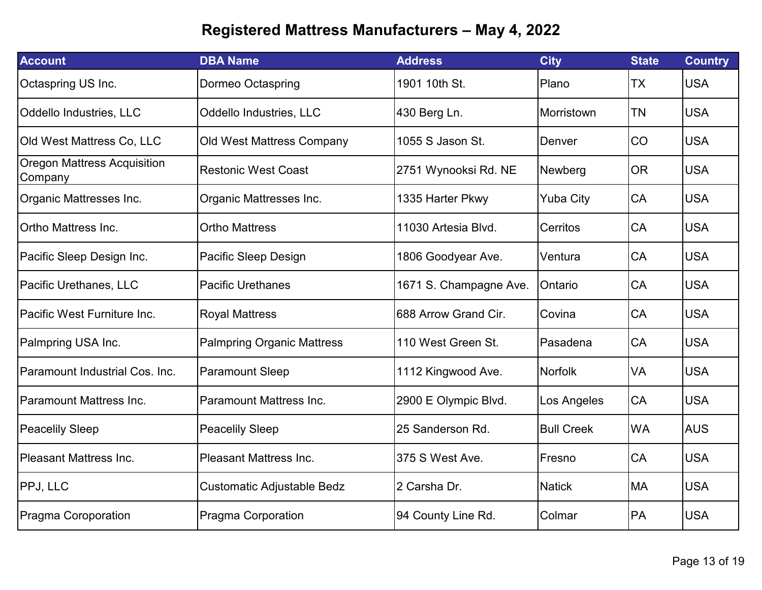| <b>Account</b>                                | <b>DBA Name</b>                   | <b>Address</b>         | <b>City</b>       | <b>State</b> | <b>Country</b> |
|-----------------------------------------------|-----------------------------------|------------------------|-------------------|--------------|----------------|
| Octaspring US Inc.                            | <b>Dormeo Octaspring</b>          | 1901 10th St.          | Plano             | ТX           | <b>USA</b>     |
| Oddello Industries, LLC                       | Oddello Industries, LLC           | 430 Berg Ln.           | Morristown        | <b>TN</b>    | <b>USA</b>     |
| Old West Mattress Co, LLC                     | <b>Old West Mattress Company</b>  | 1055 S Jason St.       | Denver            | CO           | <b>USA</b>     |
| <b>Oregon Mattress Acquisition</b><br>Company | <b>Restonic West Coast</b>        | 2751 Wynooksi Rd. NE   | Newberg           | <b>OR</b>    | <b>USA</b>     |
| Organic Mattresses Inc.                       | Organic Mattresses Inc.           | 1335 Harter Pkwy       | <b>Yuba City</b>  | CA           | <b>USA</b>     |
| Ortho Mattress Inc.                           | <b>Ortho Mattress</b>             | 11030 Artesia Blvd.    | Cerritos          | CA           | <b>USA</b>     |
| Pacific Sleep Design Inc.                     | Pacific Sleep Design              | 1806 Goodyear Ave.     | Ventura           | CA           | <b>USA</b>     |
| Pacific Urethanes, LLC                        | <b>Pacific Urethanes</b>          | 1671 S. Champagne Ave. | Ontario           | CA           | <b>USA</b>     |
| lPacific West Furniture Inc.                  | <b>Royal Mattress</b>             | 688 Arrow Grand Cir.   | Covina            | CA           | <b>USA</b>     |
| Palmpring USA Inc.                            | <b>Palmpring Organic Mattress</b> | 110 West Green St.     | Pasadena          | <b>CA</b>    | <b>USA</b>     |
| Paramount Industrial Cos. Inc.                | <b>Paramount Sleep</b>            | 1112 Kingwood Ave.     | <b>Norfolk</b>    | VA           | <b>USA</b>     |
| Paramount Mattress Inc.                       | <b>Paramount Mattress Inc.</b>    | 2900 E Olympic Blvd.   | Los Angeles       | CA           | <b>USA</b>     |
| <b>Peacelily Sleep</b>                        | <b>Peacelily Sleep</b>            | 25 Sanderson Rd.       | <b>Bull Creek</b> | <b>WA</b>    | <b>AUS</b>     |
| <b>Pleasant Mattress Inc.</b>                 | <b>Pleasant Mattress Inc.</b>     | 375 S West Ave.        | Fresno            | CA           | <b>USA</b>     |
| <b>PPJ, LLC</b>                               | Customatic Adjustable Bedz        | 2 Carsha Dr.           | <b>Natick</b>     | <b>MA</b>    | <b>USA</b>     |
| Pragma Coroporation                           | <b>Pragma Corporation</b>         | 94 County Line Rd.     | Colmar            | PA           | <b>USA</b>     |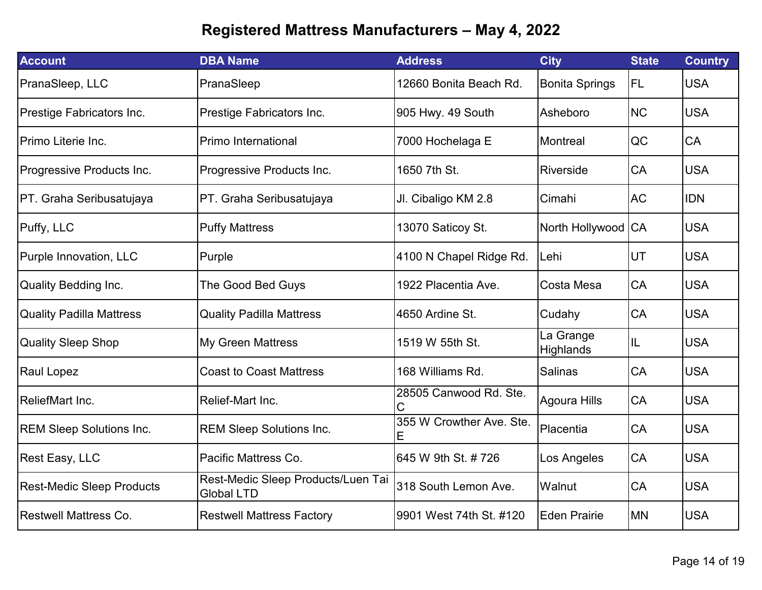| <b>Account</b>                   | <b>DBA Name</b>                                         | <b>Address</b>                | <b>City</b>                   | <b>State</b> | <b>Country</b> |
|----------------------------------|---------------------------------------------------------|-------------------------------|-------------------------------|--------------|----------------|
| PranaSleep, LLC                  | PranaSleep                                              | 12660 Bonita Beach Rd.        | <b>Bonita Springs</b>         | <b>FL</b>    | <b>USA</b>     |
| Prestige Fabricators Inc.        | Prestige Fabricators Inc.                               | 905 Hwy. 49 South             | Asheboro                      | <b>NC</b>    | <b>USA</b>     |
| Primo Literie Inc.               | Primo International                                     | 7000 Hochelaga E              | Montreal                      | QC           | <b>CA</b>      |
| Progressive Products Inc.        | Progressive Products Inc.                               | 1650 7th St.                  | Riverside                     | CA           | <b>USA</b>     |
| PT. Graha Seribusatujaya         | PT. Graha Seribusatujaya                                | Jl. Cibaligo KM 2.8           | Cimahi                        | <b>AC</b>    | <b>IDN</b>     |
| Puffy, LLC                       | <b>Puffy Mattress</b>                                   | 13070 Saticoy St.             | North Hollywood CA            |              | <b>USA</b>     |
| Purple Innovation, LLC           | Purple                                                  | 4100 N Chapel Ridge Rd.       | Lehi                          | UT           | <b>USA</b>     |
| <b>Quality Bedding Inc.</b>      | The Good Bed Guys                                       | 1922 Placentia Ave.           | Costa Mesa                    | CA           | <b>USA</b>     |
| <b>Quality Padilla Mattress</b>  | <b>Quality Padilla Mattress</b>                         | 4650 Ardine St.               | Cudahy                        | CA           | <b>USA</b>     |
| <b>Quality Sleep Shop</b>        | <b>My Green Mattress</b>                                | 1519 W 55th St.               | La Grange<br><b>Highlands</b> | IL           | <b>USA</b>     |
| <b>Raul Lopez</b>                | <b>Coast to Coast Mattress</b>                          | 168 Williams Rd.              | Salinas                       | CA           | <b>USA</b>     |
| <b>ReliefMart Inc.</b>           | Relief-Mart Inc.                                        | 28505 Canwood Rd. Ste.<br>C   | Agoura Hills                  | CA           | <b>USA</b>     |
| <b>REM Sleep Solutions Inc.</b>  | <b>REM Sleep Solutions Inc.</b>                         | 355 W Crowther Ave. Ste.<br>Е | Placentia                     | CA           | <b>USA</b>     |
| <b>Rest Easy, LLC</b>            | Pacific Mattress Co.                                    | 645 W 9th St. # 726           | Los Angeles                   | CA           | <b>USA</b>     |
| <b>Rest-Medic Sleep Products</b> | Rest-Medic Sleep Products/Luen Tai<br><b>Global LTD</b> | 318 South Lemon Ave.          | Walnut                        | CA           | <b>USA</b>     |
| <b>Restwell Mattress Co.</b>     | <b>Restwell Mattress Factory</b>                        | 9901 West 74th St. #120       | <b>Eden Prairie</b>           | <b>MN</b>    | <b>USA</b>     |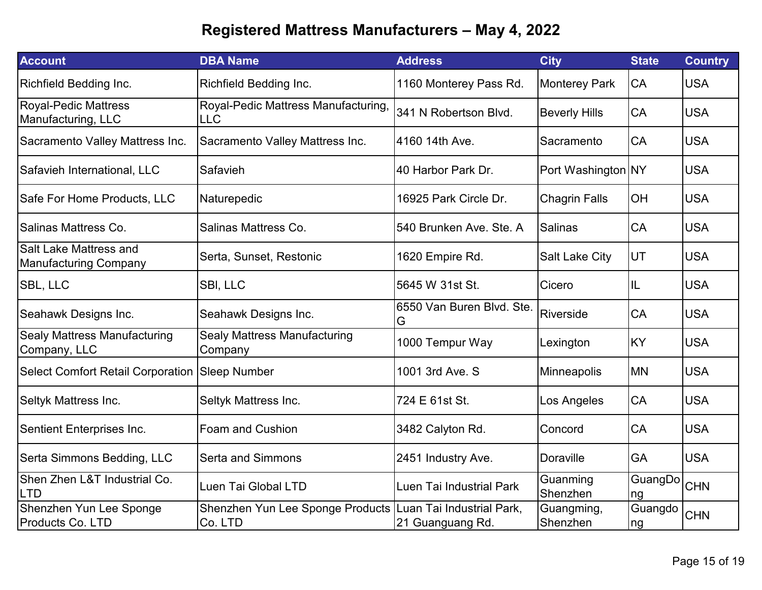| <b>Account</b>                                         | <b>DBA Name</b>                                                       | <b>Address</b>                 | <b>City</b>            | <b>State</b>  | <b>Country</b> |
|--------------------------------------------------------|-----------------------------------------------------------------------|--------------------------------|------------------------|---------------|----------------|
| Richfield Bedding Inc.                                 | Richfield Bedding Inc.                                                | 1160 Monterey Pass Rd.         | <b>Monterey Park</b>   | CA            | <b>USA</b>     |
| <b>Royal-Pedic Mattress</b><br>Manufacturing, LLC      | Royal-Pedic Mattress Manufacturing,<br><b>LLC</b>                     | 341 N Robertson Blvd.          | <b>Beverly Hills</b>   | CA            | <b>USA</b>     |
| Sacramento Valley Mattress Inc.                        | Sacramento Valley Mattress Inc.                                       | 4160 14th Ave.                 | Sacramento             | CA            | <b>USA</b>     |
| Safavieh International, LLC                            | Safavieh                                                              | 40 Harbor Park Dr.             | Port Washington NY     |               | <b>USA</b>     |
| Safe For Home Products, LLC                            | Naturepedic                                                           | 16925 Park Circle Dr.          | <b>Chagrin Falls</b>   | OH            | <b>USA</b>     |
| Salinas Mattress Co.                                   | Salinas Mattress Co.                                                  | 540 Brunken Ave. Ste. A        | <b>Salinas</b>         | CA            | <b>USA</b>     |
| Salt Lake Mattress and<br><b>Manufacturing Company</b> | Serta, Sunset, Restonic                                               | 1620 Empire Rd.                | <b>Salt Lake City</b>  | UT            | <b>USA</b>     |
| <b>SBL, LLC</b>                                        | SBI, LLC                                                              | 5645 W 31st St.                | Cicero                 | IL            | <b>USA</b>     |
| Seahawk Designs Inc.                                   | Seahawk Designs Inc.                                                  | 6550 Van Buren Blvd. Ste.<br>G | Riverside              | CA            | <b>USA</b>     |
| <b>Sealy Mattress Manufacturing</b><br>Company, LLC    | <b>Sealy Mattress Manufacturing</b><br>Company                        | 1000 Tempur Way                | Lexington              | KY            | <b>USA</b>     |
| <b>Select Comfort Retail Corporation</b>               | <b>Sleep Number</b>                                                   | 1001 3rd Ave. S                | Minneapolis            | <b>MN</b>     | <b>USA</b>     |
| Seltyk Mattress Inc.                                   | Seltyk Mattress Inc.                                                  | 724 E 61st St.                 | Los Angeles            | CA            | <b>USA</b>     |
| Sentient Enterprises Inc.                              | <b>Foam and Cushion</b>                                               | 3482 Calyton Rd.               | Concord                | CA            | <b>USA</b>     |
| Serta Simmons Bedding, LLC                             | <b>Serta and Simmons</b>                                              | 2451 Industry Ave.             | <b>Doraville</b>       | GA            | <b>USA</b>     |
| Shen Zhen L&T Industrial Co.<br>LTD                    | Luen Tai Global LTD                                                   | Luen Tai Industrial Park       | Guanming<br>Shenzhen   | GuangDo<br>ng | <b>CHN</b>     |
| Shenzhen Yun Lee Sponge<br><b>Products Co. LTD</b>     | Shenzhen Yun Lee Sponge Products Luan Tai Industrial Park,<br>Co. LTD | 21 Guanguang Rd.               | Guangming,<br>Shenzhen | Guangdo<br>ng | <b>CHN</b>     |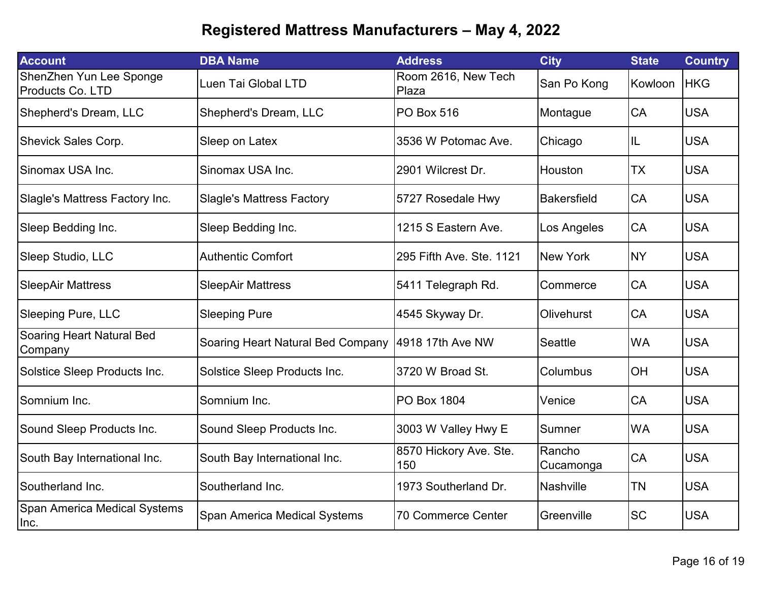| <b>Account</b>                              | <b>DBA Name</b>                                    | <b>Address</b>                | <b>City</b>         | <b>State</b> | <b>Country</b> |
|---------------------------------------------|----------------------------------------------------|-------------------------------|---------------------|--------------|----------------|
| ShenZhen Yun Lee Sponge<br>Products Co. LTD | Luen Tai Global LTD                                | Room 2616, New Tech<br>Plaza  | San Po Kong         | Kowloon      | <b>HKG</b>     |
| Shepherd's Dream, LLC                       | Shepherd's Dream, LLC                              | <b>PO Box 516</b>             | Montague            | CA           | <b>USA</b>     |
| <b>Shevick Sales Corp.</b>                  | Sleep on Latex                                     | 3536 W Potomac Ave.           | Chicago             | IL           | <b>USA</b>     |
| Sinomax USA Inc.                            | Sinomax USA Inc.                                   | 2901 Wilcrest Dr.             | Houston             | <b>TX</b>    | <b>USA</b>     |
| Slagle's Mattress Factory Inc.              | <b>Slagle's Mattress Factory</b>                   | 5727 Rosedale Hwy             | <b>Bakersfield</b>  | <b>CA</b>    | <b>USA</b>     |
| Sleep Bedding Inc.                          | Sleep Bedding Inc.                                 | 1215 S Eastern Ave.           | Los Angeles         | CA           | <b>USA</b>     |
| Sleep Studio, LLC                           | <b>Authentic Comfort</b>                           | 295 Fifth Ave. Ste. 1121      | <b>New York</b>     | <b>NY</b>    | <b>USA</b>     |
| <b>SleepAir Mattress</b>                    | <b>SleepAir Mattress</b>                           | 5411 Telegraph Rd.            | Commerce            | CA           | <b>USA</b>     |
| <b>Sleeping Pure, LLC</b>                   | <b>Sleeping Pure</b>                               | 4545 Skyway Dr.               | <b>Olivehurst</b>   | CA           | <b>USA</b>     |
| Soaring Heart Natural Bed<br>Company        | Soaring Heart Natural Bed Company 4918 17th Ave NW |                               | <b>Seattle</b>      | <b>WA</b>    | <b>USA</b>     |
| Solstice Sleep Products Inc.                | Solstice Sleep Products Inc.                       | 3720 W Broad St.              | Columbus            | OH           | <b>USA</b>     |
| Somnium Inc.                                | Somnium Inc.                                       | <b>PO Box 1804</b>            | Venice              | CA           | <b>USA</b>     |
| Sound Sleep Products Inc.                   | Sound Sleep Products Inc.                          | 3003 W Valley Hwy E           | Sumner              | <b>WA</b>    | <b>USA</b>     |
| South Bay International Inc.                | South Bay International Inc.                       | 8570 Hickory Ave. Ste.<br>150 | Rancho<br>Cucamonga | CA           | <b>USA</b>     |
| Southerland Inc.                            | Southerland Inc.                                   | 1973 Southerland Dr.          | Nashville           | <b>TN</b>    | <b>USA</b>     |
| Span America Medical Systems<br>Inc.        | Span America Medical Systems                       | 70 Commerce Center            | Greenville          | <b>SC</b>    | <b>USA</b>     |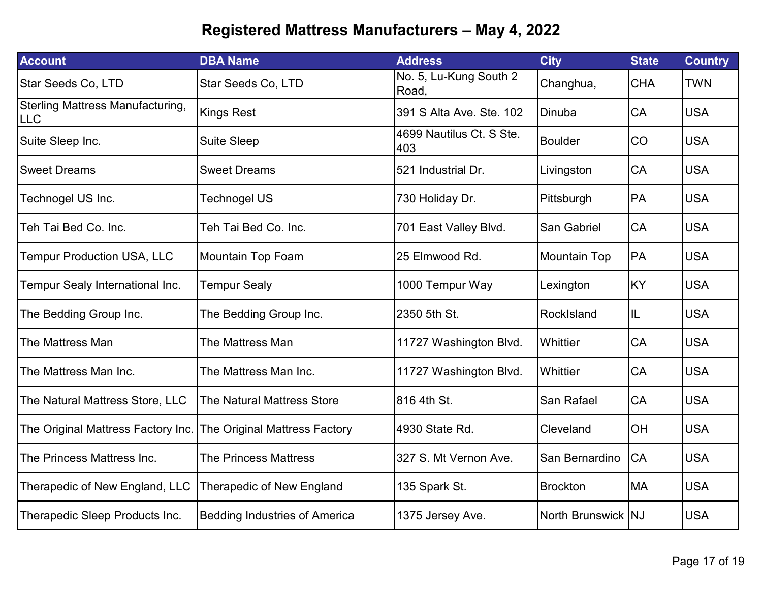| <b>Account</b>                                 | <b>DBA Name</b>                      | <b>Address</b>                  | <b>City</b>         | <b>State</b> | <b>Country</b> |
|------------------------------------------------|--------------------------------------|---------------------------------|---------------------|--------------|----------------|
| Star Seeds Co, LTD                             | Star Seeds Co, LTD                   | No. 5, Lu-Kung South 2<br>Road, | Changhua,           | <b>CHA</b>   | <b>TWN</b>     |
| Sterling Mattress Manufacturing,<br><b>LLC</b> | <b>Kings Rest</b>                    | 391 S Alta Ave. Ste. 102        | Dinuba              | <b>CA</b>    | <b>USA</b>     |
| Suite Sleep Inc.                               | <b>Suite Sleep</b>                   | 4699 Nautilus Ct. S Ste.<br>403 | <b>Boulder</b>      | <b>CO</b>    | <b>USA</b>     |
| <b>Sweet Dreams</b>                            | <b>Sweet Dreams</b>                  | 521 Industrial Dr.              | Livingston          | <b>CA</b>    | <b>USA</b>     |
| Technogel US Inc.                              | <b>Technogel US</b>                  | 730 Holiday Dr.                 | Pittsburgh          | PA           | <b>USA</b>     |
| Teh Tai Bed Co. Inc.                           | Teh Tai Bed Co. Inc.                 | 701 East Valley Blvd.           | San Gabriel         | <b>CA</b>    | <b>USA</b>     |
| <b>Tempur Production USA, LLC</b>              | Mountain Top Foam                    | 25 Elmwood Rd.                  | <b>Mountain Top</b> | PA           | <b>USA</b>     |
| Tempur Sealy International Inc.                | <b>Tempur Sealy</b>                  | 1000 Tempur Way                 | Lexington           | <b>KY</b>    | <b>USA</b>     |
| The Bedding Group Inc.                         | The Bedding Group Inc.               | 2350 5th St.                    | RockIsland          | IL           | <b>USA</b>     |
| The Mattress Man                               | The Mattress Man                     | 11727 Washington Blvd.          | Whittier            | CA           | <b>USA</b>     |
| The Mattress Man Inc.                          | The Mattress Man Inc.                | 11727 Washington Blvd.          | Whittier            | CA           | <b>USA</b>     |
| The Natural Mattress Store, LLC                | The Natural Mattress Store           | 816 4th St.                     | San Rafael          | CA           | <b>USA</b>     |
| The Original Mattress Factory Inc.             | The Original Mattress Factory        | 4930 State Rd.                  | Cleveland           | OH           | <b>USA</b>     |
| The Princess Mattress Inc.                     | <b>The Princess Mattress</b>         | 327 S. Mt Vernon Ave.           | San Bernardino      | <b>CA</b>    | <b>USA</b>     |
| Therapedic of New England, LLC                 | Therapedic of New England            | 135 Spark St.                   | <b>Brockton</b>     | <b>MA</b>    | <b>USA</b>     |
| Therapedic Sleep Products Inc.                 | <b>Bedding Industries of America</b> | 1375 Jersey Ave.                | North Brunswick NJ  |              | <b>USA</b>     |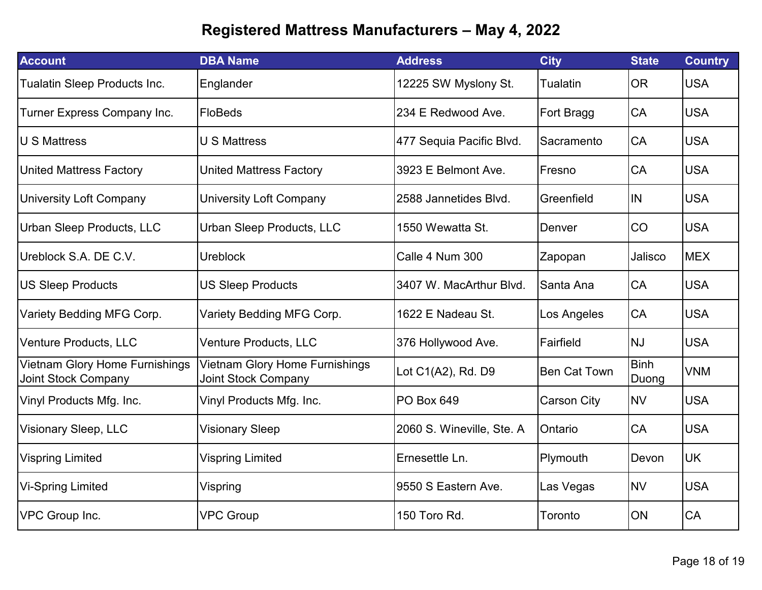| <b>Account</b>                                               | <b>DBA Name</b>                                              | <b>Address</b>            | <b>City</b>         | <b>State</b>         | <b>Country</b> |
|--------------------------------------------------------------|--------------------------------------------------------------|---------------------------|---------------------|----------------------|----------------|
| Tualatin Sleep Products Inc.                                 | Englander                                                    | 12225 SW Myslony St.      | Tualatin            | <b>OR</b>            | <b>USA</b>     |
| Turner Express Company Inc.                                  | FloBeds                                                      | 234 E Redwood Ave.        | Fort Bragg          | <b>CA</b>            | <b>USA</b>     |
| <b>U S Mattress</b>                                          | <b>U S Mattress</b>                                          | 477 Sequia Pacific Blvd.  | Sacramento          | <b>CA</b>            | <b>USA</b>     |
| <b>United Mattress Factory</b>                               | <b>United Mattress Factory</b>                               | 3923 E Belmont Ave.       | Fresno              | <b>CA</b>            | <b>USA</b>     |
| <b>University Loft Company</b>                               | <b>University Loft Company</b>                               | 2588 Jannetides Blvd.     | Greenfield          | <b>IN</b>            | <b>USA</b>     |
| Urban Sleep Products, LLC                                    | <b>Urban Sleep Products, LLC</b>                             | 1550 Wewatta St.          | Denver              | <b>CO</b>            | <b>USA</b>     |
| Ureblock S.A. DE C.V.                                        | <b>Ureblock</b>                                              | Calle 4 Num 300           | Zapopan             | Jalisco              | <b>MEX</b>     |
| <b>US Sleep Products</b>                                     | <b>US Sleep Products</b>                                     | 3407 W. MacArthur Blvd.   | Santa Ana           | <b>CA</b>            | <b>USA</b>     |
| Variety Bedding MFG Corp.                                    | Variety Bedding MFG Corp.                                    | 1622 E Nadeau St.         | Los Angeles         | CA                   | <b>USA</b>     |
| <b>Venture Products, LLC</b>                                 | <b>Venture Products, LLC</b>                                 | 376 Hollywood Ave.        | Fairfield           | <b>NJ</b>            | <b>USA</b>     |
| Vietnam Glory Home Furnishings<br><b>Joint Stock Company</b> | Vietnam Glory Home Furnishings<br><b>Joint Stock Company</b> | Lot C1(A2), Rd. D9        | <b>Ben Cat Town</b> | <b>Binh</b><br>Duong | <b>VNM</b>     |
| Vinyl Products Mfg. Inc.                                     | Vinyl Products Mfg. Inc.                                     | <b>PO Box 649</b>         | Carson City         | <b>NV</b>            | <b>USA</b>     |
| Visionary Sleep, LLC                                         | <b>Visionary Sleep</b>                                       | 2060 S. Wineville, Ste. A | Ontario             | CA                   | <b>USA</b>     |
| <b>Vispring Limited</b>                                      | <b>Vispring Limited</b>                                      | Ernesettle Ln.            | Plymouth            | Devon                | <b>UK</b>      |
| <b>Vi-Spring Limited</b>                                     | Vispring                                                     | 9550 S Eastern Ave.       | Las Vegas           | <b>NV</b>            | <b>USA</b>     |
| VPC Group Inc.                                               | <b>VPC Group</b>                                             | 150 Toro Rd.              | Toronto             | ON                   | CA             |